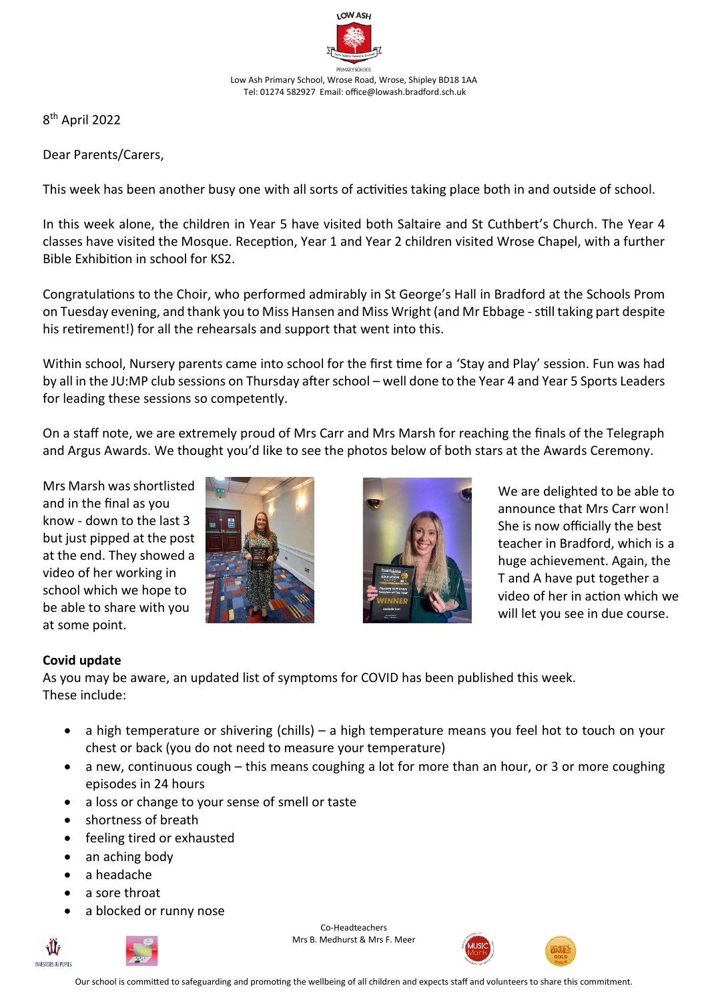

8 th April 2022

Dear Parents/Carers,

This week has been another busy one with all sorts of activities taking place both in and outside of school.

In this week alone, the children in Year 5 have visited both Saltaire and St Cuthbert's Church. The Year 4 classes have visited the Mosque. Reception, Year 1 and Year 2 children visited Wrose Chapel, with a further Bible Exhibition in school for KS2.

Congratulations to the Choir, who performed admirably in St George's Hall in Bradford at the Schools Prom on Tuesday evening, and thank you to Miss Hansen and Miss Wright (and Mr Ebbage -still taking part despite his retirement!) for all the rehearsals and support that went into this.

Within school, Nursery parents came into school for the first time for a 'Stay and Play' session. Fun was had by all in the JU:MP club sessions on Thursday after school – well done to the Year 4 and Year 5 Sports Leaders for leading these sessions so competently.

On a staff note, we are extremely proud of Mrs Carr and Mrs Marsh for reaching the finals of the Telegraph and Argus Awards. We thought you'd like to see the photos below of both stars at the Awards Ceremony.

Mrs Marsh was shortlisted and in the final as you know - down to the last 3 but just pipped at the post at the end. They showed a video of her working in school which we hope to be able to share with you at some point.





We are delighted to be able to announce that Mrs Carr won! She is now officially the best teacher in Bradford, which is a huge achievement. Again, the T and A have put together a video of her in action which we will let you see in due course.

## **Covid update**

As you may be aware, an updated list of symptoms for COVID has been published this week. These include:

- a high temperature or shivering (chills) a high temperature means you feel hot to touch on your chest or back (you do not need to measure your temperature)
- a new, continuous cough this means coughing a lot for more than an hour, or 3 or more coughing episodes in 24 hours
- a loss or change to your sense of smell or taste
- shortness of breath
- feeling tired or exhausted
- an aching body
- a headache

۱I INVESTORS IN PHPHS

- a sore throat
- a blocked or runny nose

Co-Headteachers Mrs B. Medhurst & Mrs F. Meer





Our school is committed to safeguarding and promoting the wellbeing of all children and expects staff and volunteers to share this commitment.